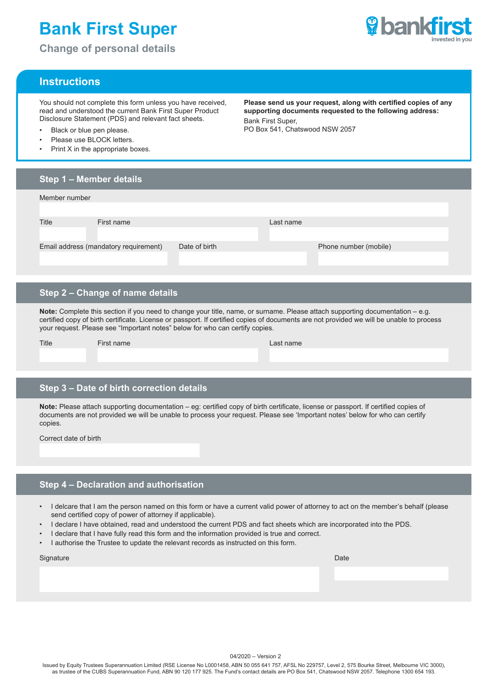# **Bank First Super**

**Change of personal details**



# **Instructions**

You should not complete this form unless you have received, read and understood the current Bank First Super Product Disclosure Statement (PDS) and relevant fact sheets.

- Black or blue pen please.
- Please use BLOCK letters.
- Print X in the appropriate boxes.

**Please send us your request, along with certified copies of any supporting documents requested to the following address:** Bank First Super, PO Box 541, Chatswood NSW 2057

# **Step 1 – Member details** Member number Title **First name First name Last name** Email address (mandatory requirement) Date of birth Phone number (mobile)

## **Step 2 – Change of name details**

**Note:** Complete this section if you need to change your title, name, or surname. Please attach supporting documentation – e.g. certified copy of birth certificate. License or passport. If certified copies of documents are not provided we will be unable to process your request. Please see "Important notes" below for who can certify copies.

| Title | First name | Last name |
|-------|------------|-----------|
|       |            |           |
|       |            |           |

## **Step 3 – Date of birth correction details**

**Note:** Please attach supporting documentation – eg: certified copy of birth certificate, license or passport. If certified copies of documents are not provided we will be unable to process your request. Please see 'Important notes' below for who can certify copies.

Correct date of birth

# **Step 4 – Declaration and authorisation**

- I delcare that I am the person named on this form or have a current valid power of attorney to act on the member's behalf (please send certified copy of power of attorney if applicable).
- I declare I have obtained, read and understood the current PDS and fact sheets which are incorporated into the PDS.
- I declare that I have fully read this form and the information provided is true and correct.
- I authorise the Trustee to update the relevant records as instructed on this form.

| Signature | Date |
|-----------|------|
|-----------|------|

04/2020 – Version 2